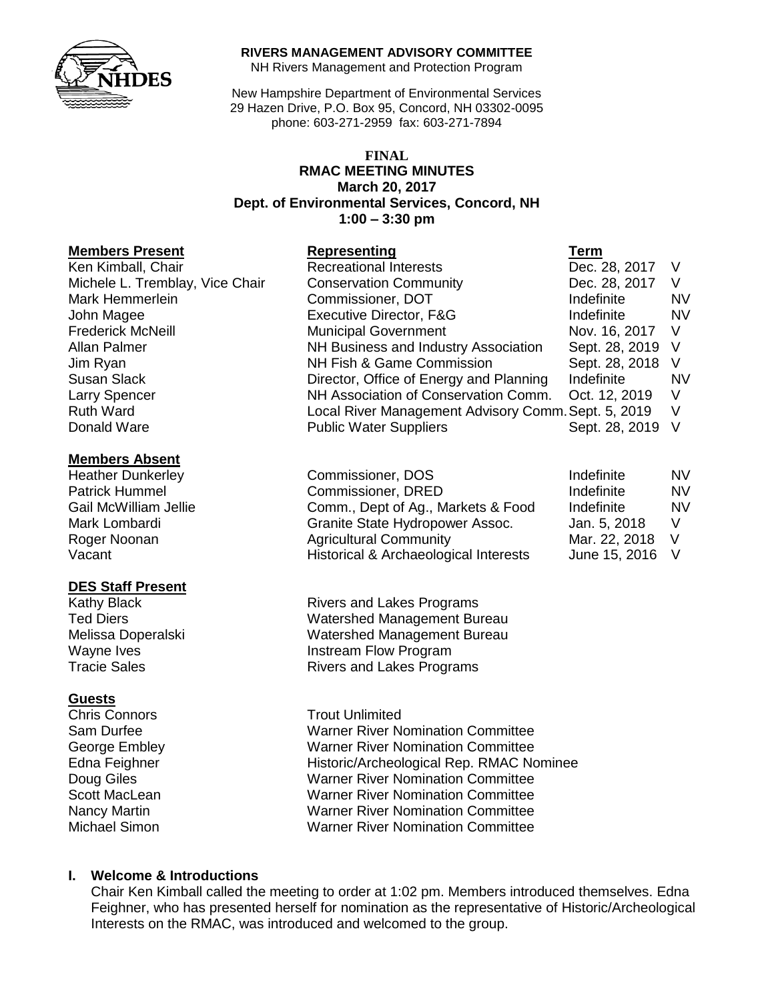

#### **RIVERS MANAGEMENT ADVISORY COMMITTEE**

NH Rivers Management and Protection Program

New Hampshire Department of Environmental Services 29 Hazen Drive, P.O. Box 95, Concord, NH 03302-0095 phone: 603-271-2959 fax: 603-271-7894

#### **FINAL RMAC MEETING MINUTES March 20, 2017 Dept. of Environmental Services, Concord, NH 1:00 – 3:30 pm**

#### **Members Present**

#### **Members Absent**

## **DES Staff Present**

## **Guests**

Chris Connors **Trout Unlimited** 

| Members Present                 | Representing                                        | ı erm            |           |
|---------------------------------|-----------------------------------------------------|------------------|-----------|
| Ken Kimball, Chair              | <b>Recreational Interests</b>                       | Dec. 28, 2017    |           |
| Michele L. Tremblay, Vice Chair | <b>Conservation Community</b>                       | Dec. 28, 2017    | V         |
| Mark Hemmerlein                 | Commissioner, DOT                                   | Indefinite       | <b>NV</b> |
| John Magee                      | Executive Director, F&G                             | Indefinite       | <b>NV</b> |
| Frederick McNeill               | <b>Municipal Government</b>                         | Nov. 16, 2017 V  |           |
| Allan Palmer                    | NH Business and Industry Association                | Sept. 28, 2019 V |           |
| Jim Ryan                        | NH Fish & Game Commission                           | Sept. 28, 2018 V |           |
| Susan Slack                     | Director, Office of Energy and Planning             | Indefinite       | <b>NV</b> |
| Larry Spencer                   | NH Association of Conservation Comm.                | Oct. 12, 2019    | - V       |
| <b>Ruth Ward</b>                | Local River Management Advisory Comm. Sept. 5, 2019 |                  | - V       |
| Donald Ware                     | <b>Public Water Suppliers</b>                       | Sept. 28, 2019   | $\vee$    |

| <b>Heather Dunkerley</b> | Commissioner, DOS                     | Indefinite      | <b>NV</b> |
|--------------------------|---------------------------------------|-----------------|-----------|
| Patrick Hummel           | Commissioner, DRED                    | Indefinite      | <b>NV</b> |
| Gail McWilliam Jellie    | Comm., Dept of Ag., Markets & Food    | Indefinite      | <b>NV</b> |
| Mark Lombardi            | Granite State Hydropower Assoc.       | Jan. 5, 2018    |           |
| Roger Noonan             | <b>Agricultural Community</b>         | Mar. 22, 2018 V |           |
| Vacant                   | Historical & Archaeological Interests | June 15, 2016 V |           |

Kathy Black **Rivers** and Lakes Programs Ted Diers Watershed Management Bureau Melissa Doperalski Watershed Management Bureau Wayne Ives **Instream Flow Program** Tracie Sales **Rivers** and Lakes Programs

Sam Durfee Warner River Nomination Committee George Embley Warner River Nomination Committee Edna Feighner Historic/Archeological Rep. RMAC Nominee Doug Giles **Namer River Nomination Committee** Scott MacLean Warner River Nomination Committee Nancy Martin Warner River Nomination Committee Michael Simon Warner River Nomination Committee

# **I. Welcome & Introductions**

Chair Ken Kimball called the meeting to order at 1:02 pm. Members introduced themselves. Edna Feighner, who has presented herself for nomination as the representative of Historic/Archeological Interests on the RMAC, was introduced and welcomed to the group.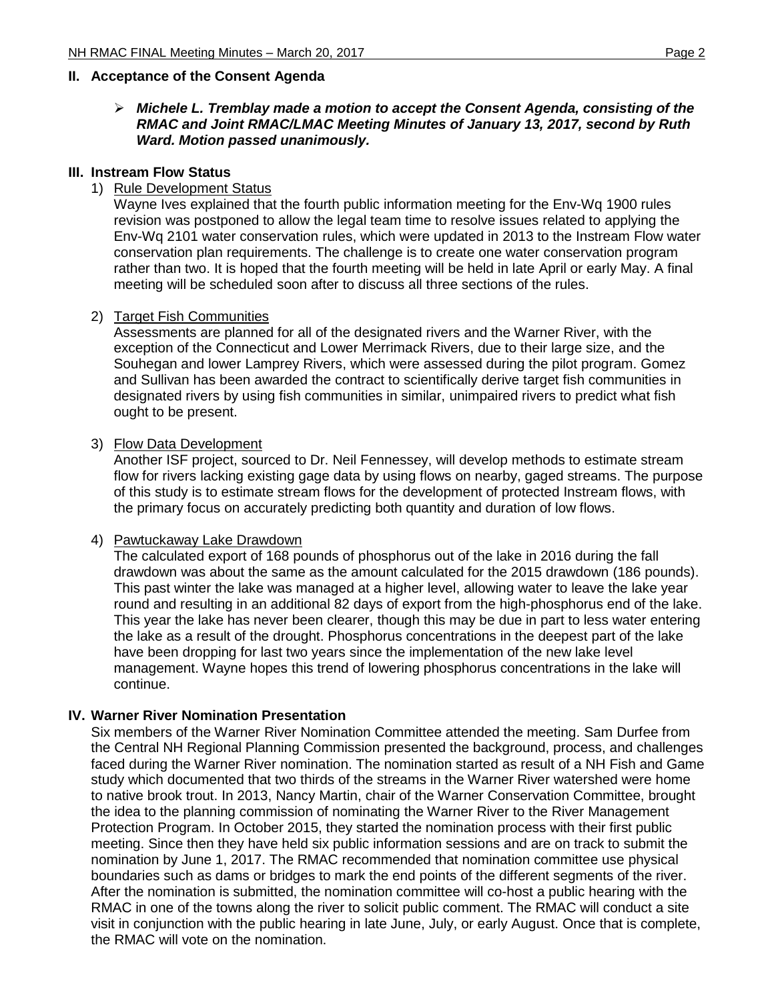## **II. Acceptance of the Consent Agenda**

 *Michele L. Tremblay made a motion to accept the Consent Agenda, consisting of the RMAC and Joint RMAC/LMAC Meeting Minutes of January 13, 2017, second by Ruth Ward. Motion passed unanimously.* 

#### **III. Instream Flow Status**

## 1) Rule Development Status

Wayne Ives explained that the fourth public information meeting for the Env-Wq 1900 rules revision was postponed to allow the legal team time to resolve issues related to applying the Env-Wq 2101 water conservation rules, which were updated in 2013 to the Instream Flow water conservation plan requirements. The challenge is to create one water conservation program rather than two. It is hoped that the fourth meeting will be held in late April or early May. A final meeting will be scheduled soon after to discuss all three sections of the rules.

#### 2) Target Fish Communities

Assessments are planned for all of the designated rivers and the Warner River, with the exception of the Connecticut and Lower Merrimack Rivers, due to their large size, and the Souhegan and lower Lamprey Rivers, which were assessed during the pilot program. Gomez and Sullivan has been awarded the contract to scientifically derive target fish communities in designated rivers by using fish communities in similar, unimpaired rivers to predict what fish ought to be present.

## 3) Flow Data Development

Another ISF project, sourced to Dr. Neil Fennessey, will develop methods to estimate stream flow for rivers lacking existing gage data by using flows on nearby, gaged streams. The purpose of this study is to estimate stream flows for the development of protected Instream flows, with the primary focus on accurately predicting both quantity and duration of low flows.

#### 4) Pawtuckaway Lake Drawdown

The calculated export of 168 pounds of phosphorus out of the lake in 2016 during the fall drawdown was about the same as the amount calculated for the 2015 drawdown (186 pounds). This past winter the lake was managed at a higher level, allowing water to leave the lake year round and resulting in an additional 82 days of export from the high-phosphorus end of the lake. This year the lake has never been clearer, though this may be due in part to less water entering the lake as a result of the drought. Phosphorus concentrations in the deepest part of the lake have been dropping for last two years since the implementation of the new lake level management. Wayne hopes this trend of lowering phosphorus concentrations in the lake will continue.

## **IV. Warner River Nomination Presentation**

Six members of the Warner River Nomination Committee attended the meeting. Sam Durfee from the Central NH Regional Planning Commission presented the background, process, and challenges faced during the Warner River nomination. The nomination started as result of a NH Fish and Game study which documented that two thirds of the streams in the Warner River watershed were home to native brook trout. In 2013, Nancy Martin, chair of the Warner Conservation Committee, brought the idea to the planning commission of nominating the Warner River to the River Management Protection Program. In October 2015, they started the nomination process with their first public meeting. Since then they have held six public information sessions and are on track to submit the nomination by June 1, 2017. The RMAC recommended that nomination committee use physical boundaries such as dams or bridges to mark the end points of the different segments of the river. After the nomination is submitted, the nomination committee will co-host a public hearing with the RMAC in one of the towns along the river to solicit public comment. The RMAC will conduct a site visit in conjunction with the public hearing in late June, July, or early August. Once that is complete, the RMAC will vote on the nomination.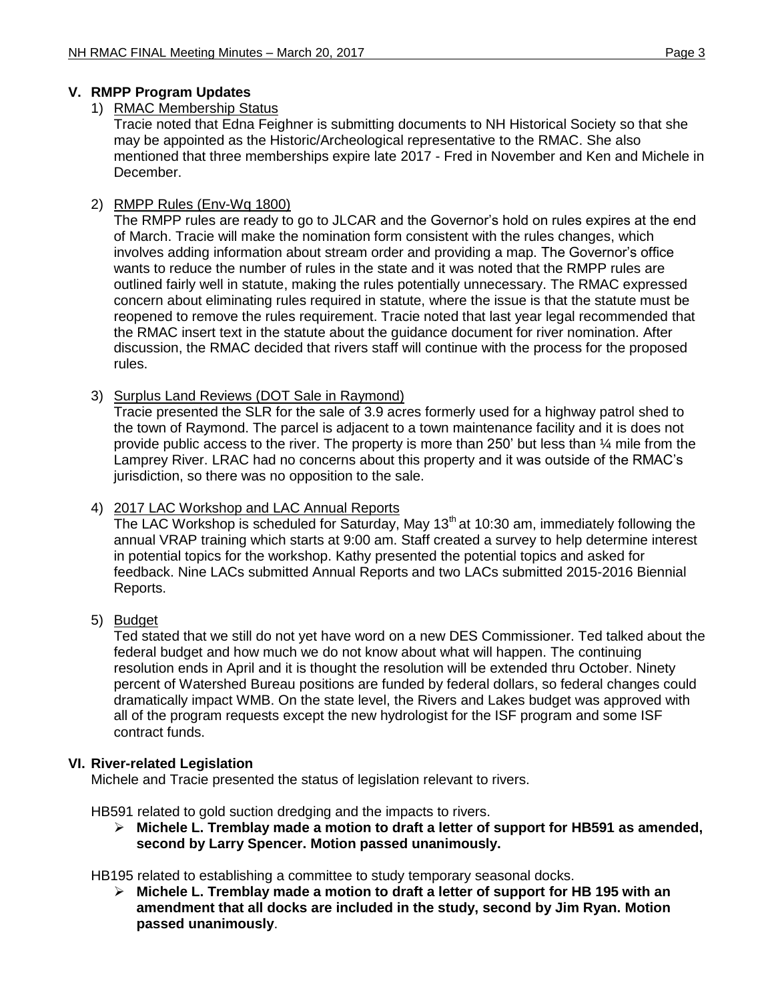# **V. RMPP Program Updates**

## 1) RMAC Membership Status

Tracie noted that Edna Feighner is submitting documents to NH Historical Society so that she may be appointed as the Historic/Archeological representative to the RMAC. She also mentioned that three memberships expire late 2017 - Fred in November and Ken and Michele in December.

# 2) RMPP Rules (Env-Wq 1800)

The RMPP rules are ready to go to JLCAR and the Governor's hold on rules expires at the end of March. Tracie will make the nomination form consistent with the rules changes, which involves adding information about stream order and providing a map. The Governor's office wants to reduce the number of rules in the state and it was noted that the RMPP rules are outlined fairly well in statute, making the rules potentially unnecessary. The RMAC expressed concern about eliminating rules required in statute, where the issue is that the statute must be reopened to remove the rules requirement. Tracie noted that last year legal recommended that the RMAC insert text in the statute about the guidance document for river nomination. After discussion, the RMAC decided that rivers staff will continue with the process for the proposed rules.

## 3) Surplus Land Reviews (DOT Sale in Raymond)

Tracie presented the SLR for the sale of 3.9 acres formerly used for a highway patrol shed to the town of Raymond. The parcel is adjacent to a town maintenance facility and it is does not provide public access to the river. The property is more than 250' but less than  $\frac{1}{4}$  mile from the Lamprey River. LRAC had no concerns about this property and it was outside of the RMAC's jurisdiction, so there was no opposition to the sale.

## 4) 2017 LAC Workshop and LAC Annual Reports

The LAC Workshop is scheduled for Saturday, May  $13<sup>th</sup>$  at 10:30 am, immediately following the annual VRAP training which starts at 9:00 am. Staff created a survey to help determine interest in potential topics for the workshop. Kathy presented the potential topics and asked for feedback. Nine LACs submitted Annual Reports and two LACs submitted 2015-2016 Biennial Reports.

# 5) Budget

Ted stated that we still do not yet have word on a new DES Commissioner. Ted talked about the federal budget and how much we do not know about what will happen. The continuing resolution ends in April and it is thought the resolution will be extended thru October. Ninety percent of Watershed Bureau positions are funded by federal dollars, so federal changes could dramatically impact WMB. On the state level, the Rivers and Lakes budget was approved with all of the program requests except the new hydrologist for the ISF program and some ISF contract funds.

## **VI. River-related Legislation**

Michele and Tracie presented the status of legislation relevant to rivers.

HB591 related to gold suction dredging and the impacts to rivers.

 **Michele L. Tremblay made a motion to draft a letter of support for HB591 as amended, second by Larry Spencer. Motion passed unanimously.** 

HB195 related to establishing a committee to study temporary seasonal docks.

 **Michele L. Tremblay made a motion to draft a letter of support for HB 195 with an amendment that all docks are included in the study, second by Jim Ryan. Motion passed unanimously**.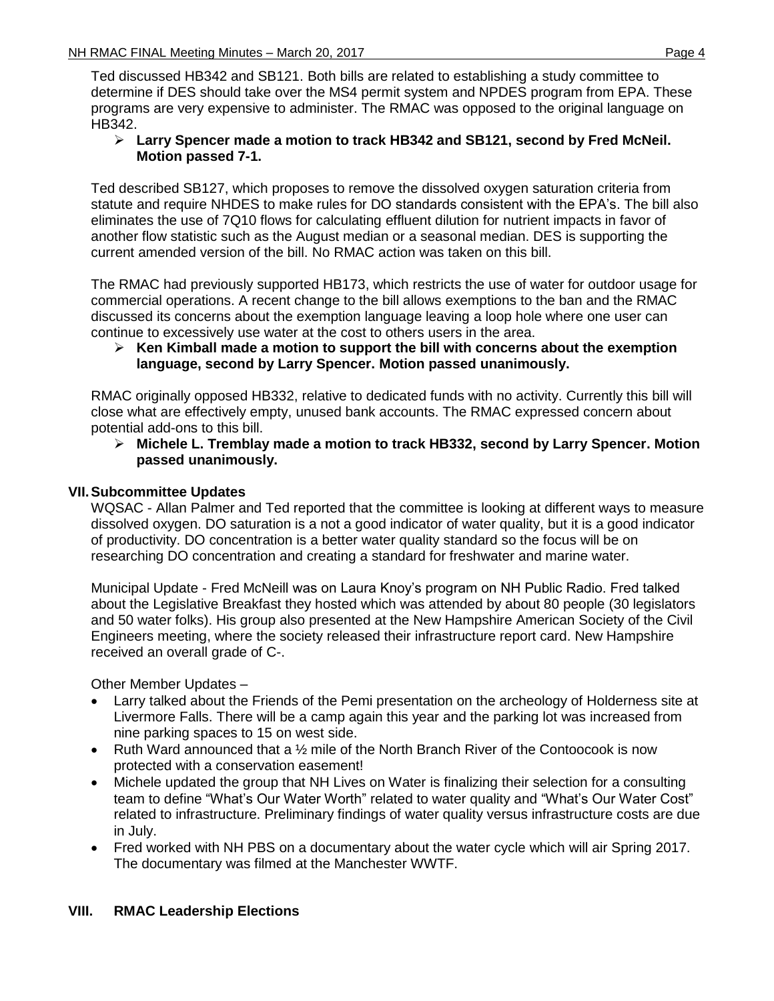Ted discussed HB342 and SB121. Both bills are related to establishing a study committee to determine if DES should take over the MS4 permit system and NPDES program from EPA. These programs are very expensive to administer. The RMAC was opposed to the original language on HB342.

## **Larry Spencer made a motion to track HB342 and SB121, second by Fred McNeil. Motion passed 7-1.**

Ted described SB127, which proposes to remove the dissolved oxygen saturation criteria from statute and require NHDES to make rules for DO standards consistent with the EPA's. The bill also eliminates the use of 7Q10 flows for calculating effluent dilution for nutrient impacts in favor of another flow statistic such as the August median or a seasonal median. DES is supporting the current amended version of the bill. No RMAC action was taken on this bill.

The RMAC had previously supported HB173, which restricts the use of water for outdoor usage for commercial operations. A recent change to the bill allows exemptions to the ban and the RMAC discussed its concerns about the exemption language leaving a loop hole where one user can continue to excessively use water at the cost to others users in the area.

## **Ken Kimball made a motion to support the bill with concerns about the exemption language, second by Larry Spencer. Motion passed unanimously.**

RMAC originally opposed HB332, relative to dedicated funds with no activity. Currently this bill will close what are effectively empty, unused bank accounts. The RMAC expressed concern about potential add-ons to this bill.

## **Michele L. Tremblay made a motion to track HB332, second by Larry Spencer. Motion passed unanimously.**

# **VII.Subcommittee Updates**

WQSAC - Allan Palmer and Ted reported that the committee is looking at different ways to measure dissolved oxygen. DO saturation is a not a good indicator of water quality, but it is a good indicator of productivity. DO concentration is a better water quality standard so the focus will be on researching DO concentration and creating a standard for freshwater and marine water.

Municipal Update - Fred McNeill was on Laura Knoy's program on NH Public Radio. Fred talked about the Legislative Breakfast they hosted which was attended by about 80 people (30 legislators and 50 water folks). His group also presented at the New Hampshire American Society of the Civil Engineers meeting, where the society released their infrastructure report card. New Hampshire received an overall grade of C-.

Other Member Updates –

- Larry talked about the Friends of the Pemi presentation on the archeology of Holderness site at Livermore Falls. There will be a camp again this year and the parking lot was increased from nine parking spaces to 15 on west side.
- Ruth Ward announced that a  $\frac{1}{2}$  mile of the North Branch River of the Contoocook is now protected with a conservation easement!
- Michele updated the group that NH Lives on Water is finalizing their selection for a consulting team to define "What's Our Water Worth" related to water quality and "What's Our Water Cost" related to infrastructure. Preliminary findings of water quality versus infrastructure costs are due in July.
- Fred worked with NH PBS on a documentary about the water cycle which will air Spring 2017. The documentary was filmed at the Manchester WWTF.

# **VIII. RMAC Leadership Elections**